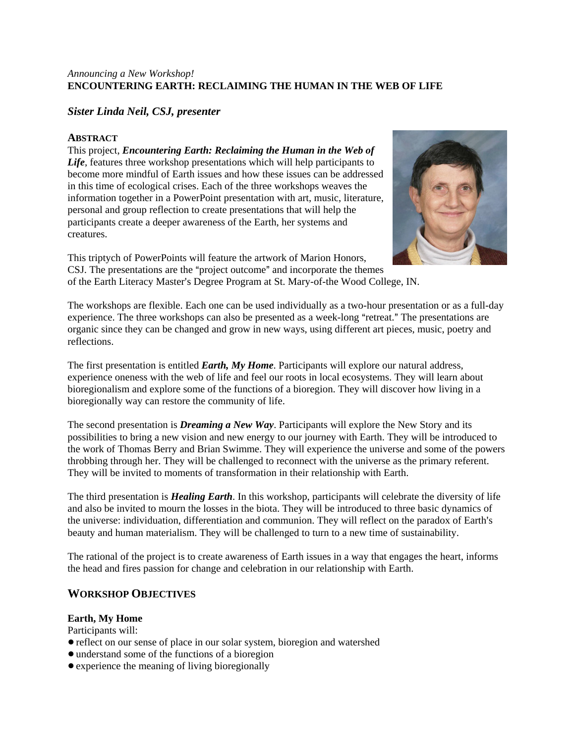## *Announcing a New Workshop!*  **ENCOUNTERING EARTH: RECLAIMING THE HUMAN IN THE WEB OF LIFE**

# *Sister Linda Neil, CSJ, presenter*

## **ABSTRACT**

This project, *Encountering Earth: Reclaiming the Human in the Web of Life*, features three workshop presentations which will help participants to become more mindful of Earth issues and how these issues can be addressed in this time of ecological crises. Each of the three workshops weaves the information together in a PowerPoint presentation with art, music, literature, personal and group reflection to create presentations that will help the participants create a deeper awareness of the Earth, her systems and creatures.



This triptych of PowerPoints will feature the artwork of Marion Honors, CSJ. The presentations are the "project outcome" and incorporate the themes of the Earth Literacy Master's Degree Program at St. Mary-of-the Wood College, IN.

The workshops are flexible. Each one can be used individually as a two-hour presentation or as a full-day experience. The three workshops can also be presented as a week-long "retreat." The presentations are organic since they can be changed and grow in new ways, using different art pieces, music, poetry and reflections.

The first presentation is entitled *Earth, My Home*. Participants will explore our natural address, experience oneness with the web of life and feel our roots in local ecosystems. They will learn about bioregionalism and explore some of the functions of a bioregion. They will discover how living in a bioregionally way can restore the community of life.

The second presentation is *Dreaming a New Way*. Participants will explore the New Story and its possibilities to bring a new vision and new energy to our journey with Earth. They will be introduced to the work of Thomas Berry and Brian Swimme. They will experience the universe and some of the powers throbbing through her. They will be challenged to reconnect with the universe as the primary referent. They will be invited to moments of transformation in their relationship with Earth.

The third presentation is *Healing Earth*. In this workshop, participants will celebrate the diversity of life and also be invited to mourn the losses in the biota. They will be introduced to three basic dynamics of the universe: individuation, differentiation and communion. They will reflect on the paradox of Earth's beauty and human materialism. They will be challenged to turn to a new time of sustainability.

The rational of the project is to create awareness of Earth issues in a way that engages the heart, informs the head and fires passion for change and celebration in our relationship with Earth.

# **WORKSHOP OBJECTIVES**

### **Earth, My Home**

Participants will:

- !reflect on our sense of place in our solar system, bioregion and watershed
- $\bullet$  understand some of the functions of a bioregion
- experience the meaning of living bioregionally